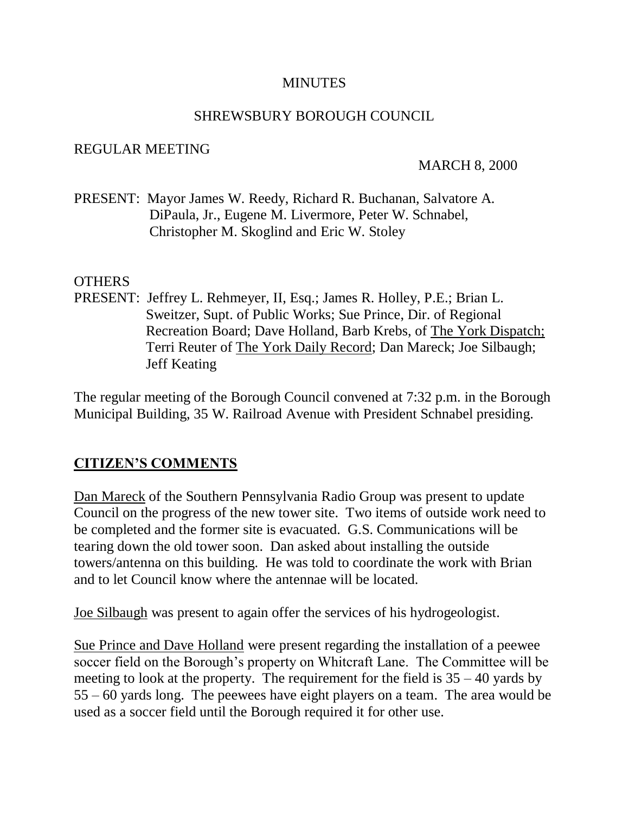#### **MINUTES**

#### SHREWSBURY BOROUGH COUNCIL

#### REGULAR MEETING

#### MARCH 8, 2000

PRESENT: Mayor James W. Reedy, Richard R. Buchanan, Salvatore A. DiPaula, Jr., Eugene M. Livermore, Peter W. Schnabel, Christopher M. Skoglind and Eric W. Stoley

#### OTHERS

PRESENT: Jeffrey L. Rehmeyer, II, Esq.; James R. Holley, P.E.; Brian L. Sweitzer, Supt. of Public Works; Sue Prince, Dir. of Regional Recreation Board; Dave Holland, Barb Krebs, of The York Dispatch; Terri Reuter of The York Daily Record; Dan Mareck; Joe Silbaugh; Jeff Keating

The regular meeting of the Borough Council convened at 7:32 p.m. in the Borough Municipal Building, 35 W. Railroad Avenue with President Schnabel presiding.

#### **CITIZEN'S COMMENTS**

Dan Mareck of the Southern Pennsylvania Radio Group was present to update Council on the progress of the new tower site. Two items of outside work need to be completed and the former site is evacuated. G.S. Communications will be tearing down the old tower soon. Dan asked about installing the outside towers/antenna on this building. He was told to coordinate the work with Brian and to let Council know where the antennae will be located.

Joe Silbaugh was present to again offer the services of his hydrogeologist.

Sue Prince and Dave Holland were present regarding the installation of a peewee soccer field on the Borough's property on Whitcraft Lane. The Committee will be meeting to look at the property. The requirement for the field is  $35 - 40$  yards by 55 – 60 yards long. The peewees have eight players on a team. The area would be used as a soccer field until the Borough required it for other use.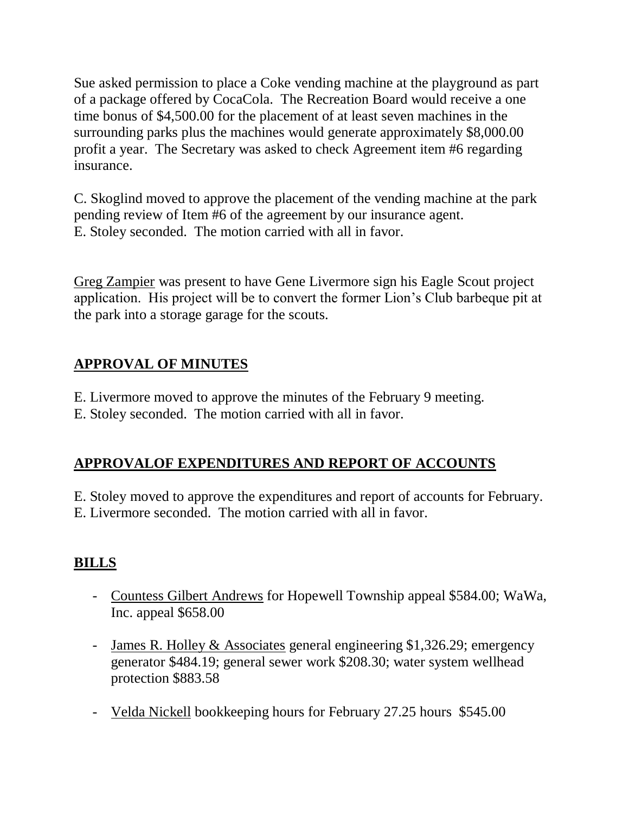Sue asked permission to place a Coke vending machine at the playground as part of a package offered by CocaCola. The Recreation Board would receive a one time bonus of \$4,500.00 for the placement of at least seven machines in the surrounding parks plus the machines would generate approximately \$8,000.00 profit a year. The Secretary was asked to check Agreement item #6 regarding insurance.

C. Skoglind moved to approve the placement of the vending machine at the park pending review of Item #6 of the agreement by our insurance agent. E. Stoley seconded. The motion carried with all in favor.

Greg Zampier was present to have Gene Livermore sign his Eagle Scout project application. His project will be to convert the former Lion's Club barbeque pit at the park into a storage garage for the scouts.

# **APPROVAL OF MINUTES**

E. Livermore moved to approve the minutes of the February 9 meeting. E. Stoley seconded. The motion carried with all in favor.

# **APPROVALOF EXPENDITURES AND REPORT OF ACCOUNTS**

E. Stoley moved to approve the expenditures and report of accounts for February. E. Livermore seconded. The motion carried with all in favor.

# **BILLS**

- Countess Gilbert Andrews for Hopewell Township appeal \$584.00; WaWa, Inc. appeal \$658.00
- James R. Holley & Associates general engineering \$1,326.29; emergency generator \$484.19; general sewer work \$208.30; water system wellhead protection \$883.58
- Velda Nickell bookkeeping hours for February 27.25 hours \$545.00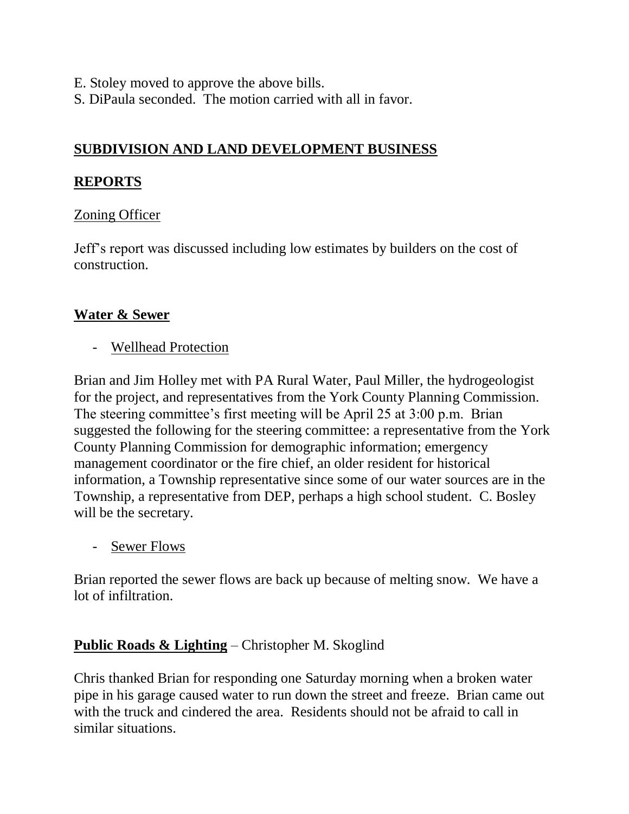- E. Stoley moved to approve the above bills.
- S. DiPaula seconded. The motion carried with all in favor.

# **SUBDIVISION AND LAND DEVELOPMENT BUSINESS**

### **REPORTS**

### Zoning Officer

Jeff's report was discussed including low estimates by builders on the cost of construction.

### **Water & Sewer**

- Wellhead Protection

Brian and Jim Holley met with PA Rural Water, Paul Miller, the hydrogeologist for the project, and representatives from the York County Planning Commission. The steering committee's first meeting will be April 25 at 3:00 p.m. Brian suggested the following for the steering committee: a representative from the York County Planning Commission for demographic information; emergency management coordinator or the fire chief, an older resident for historical information, a Township representative since some of our water sources are in the Township, a representative from DEP, perhaps a high school student. C. Bosley will be the secretary.

- Sewer Flows

Brian reported the sewer flows are back up because of melting snow. We have a lot of infiltration.

# **Public Roads & Lighting** – Christopher M. Skoglind

Chris thanked Brian for responding one Saturday morning when a broken water pipe in his garage caused water to run down the street and freeze. Brian came out with the truck and cindered the area. Residents should not be afraid to call in similar situations.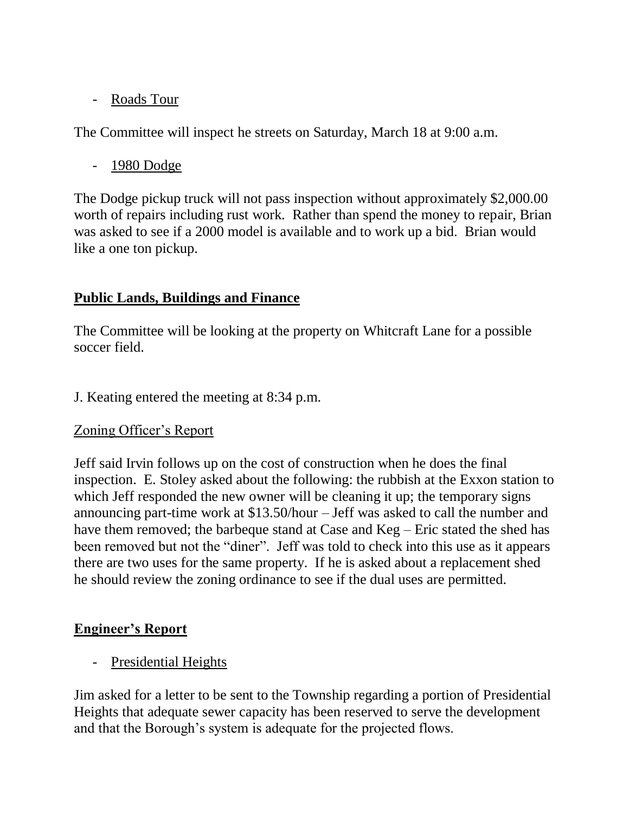# - Roads Tour

The Committee will inspect he streets on Saturday, March 18 at 9:00 a.m.

- 1980 Dodge

The Dodge pickup truck will not pass inspection without approximately \$2,000.00 worth of repairs including rust work. Rather than spend the money to repair, Brian was asked to see if a 2000 model is available and to work up a bid. Brian would like a one ton pickup.

# **Public Lands, Buildings and Finance**

The Committee will be looking at the property on Whitcraft Lane for a possible soccer field.

J. Keating entered the meeting at 8:34 p.m.

# Zoning Officer's Report

Jeff said Irvin follows up on the cost of construction when he does the final inspection. E. Stoley asked about the following: the rubbish at the Exxon station to which Jeff responded the new owner will be cleaning it up; the temporary signs announcing part-time work at \$13.50/hour – Jeff was asked to call the number and have them removed; the barbeque stand at Case and Keg – Eric stated the shed has been removed but not the "diner". Jeff was told to check into this use as it appears there are two uses for the same property. If he is asked about a replacement shed he should review the zoning ordinance to see if the dual uses are permitted.

# **Engineer's Report**

- Presidential Heights

Jim asked for a letter to be sent to the Township regarding a portion of Presidential Heights that adequate sewer capacity has been reserved to serve the development and that the Borough's system is adequate for the projected flows.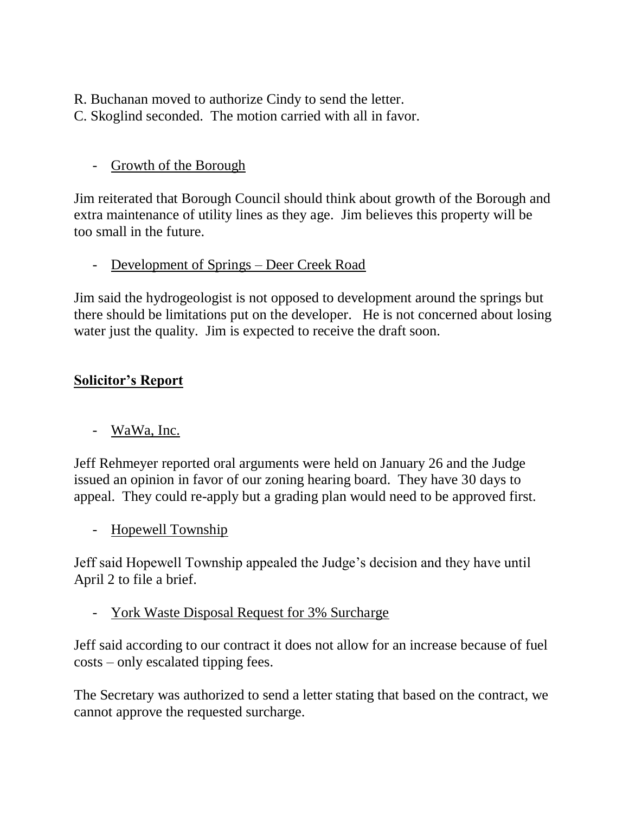R. Buchanan moved to authorize Cindy to send the letter.

C. Skoglind seconded. The motion carried with all in favor.

# - Growth of the Borough

Jim reiterated that Borough Council should think about growth of the Borough and extra maintenance of utility lines as they age. Jim believes this property will be too small in the future.

# - Development of Springs – Deer Creek Road

Jim said the hydrogeologist is not opposed to development around the springs but there should be limitations put on the developer. He is not concerned about losing water just the quality. Jim is expected to receive the draft soon.

# **Solicitor's Report**

- WaWa, Inc.

Jeff Rehmeyer reported oral arguments were held on January 26 and the Judge issued an opinion in favor of our zoning hearing board. They have 30 days to appeal. They could re-apply but a grading plan would need to be approved first.

- Hopewell Township

Jeff said Hopewell Township appealed the Judge's decision and they have until April 2 to file a brief.

- York Waste Disposal Request for 3% Surcharge

Jeff said according to our contract it does not allow for an increase because of fuel costs – only escalated tipping fees.

The Secretary was authorized to send a letter stating that based on the contract, we cannot approve the requested surcharge.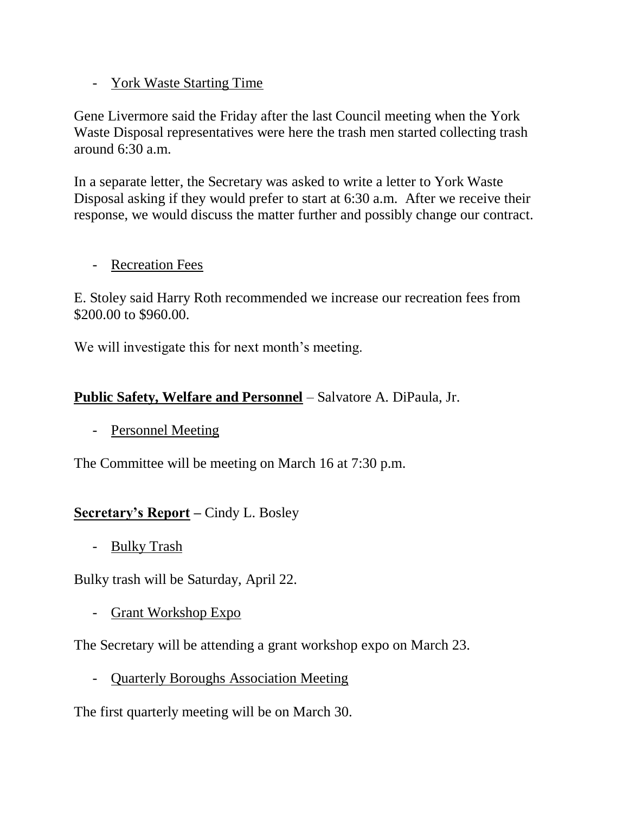## - York Waste Starting Time

Gene Livermore said the Friday after the last Council meeting when the York Waste Disposal representatives were here the trash men started collecting trash around  $6:30$  a.m.

In a separate letter, the Secretary was asked to write a letter to York Waste Disposal asking if they would prefer to start at 6:30 a.m. After we receive their response, we would discuss the matter further and possibly change our contract.

### - Recreation Fees

E. Stoley said Harry Roth recommended we increase our recreation fees from \$200.00 to \$960.00.

We will investigate this for next month's meeting.

### **Public Safety, Welfare and Personnel** – Salvatore A. DiPaula, Jr.

- Personnel Meeting

The Committee will be meeting on March 16 at 7:30 p.m.

# **Secretary's Report –** Cindy L. Bosley

- Bulky Trash

Bulky trash will be Saturday, April 22.

- Grant Workshop Expo

The Secretary will be attending a grant workshop expo on March 23.

- Quarterly Boroughs Association Meeting

The first quarterly meeting will be on March 30.